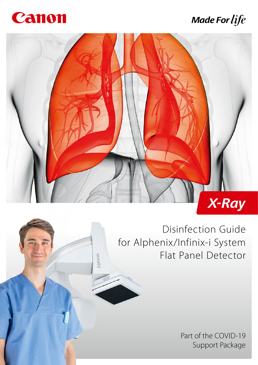

# **Made For life**



Alphenix

Disinfection Guide for Alphenix/Infinix-i System Flat Panel Detector

> Part of the COVID-19 Support Package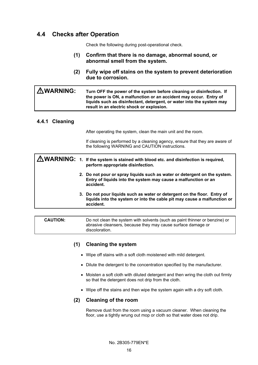## **4.4 Checks after Operation**

Check the following during post-operational check.

- **(1) Confirm that there is no damage, abnormal sound, or abnormal smell from the system.**
- **(2) Fully wipe off stains on the system to prevent deterioration due to corrosion.**

| <b>AWARNING:</b> | Turn OFF the power of the system before cleaning or disinfection. If<br>the power is ON, a malfunction or an accident may occur. Entry of<br>liquids such as disinfectant, detergent, or water into the system may<br>result in an electric shock or explosion. |
|------------------|-----------------------------------------------------------------------------------------------------------------------------------------------------------------------------------------------------------------------------------------------------------------|
|                  |                                                                                                                                                                                                                                                                 |

### **4.4.1 Cleaning**

After operating the system, clean the main unit and the room.

If cleaning is performed by a cleaning agency, ensure that they are aware of the following WARNING and CAUTION instructions.

|  | <b>AWARNING:</b> 1. If the system is stained with blood etc. and disinfection is required,<br>perform appropriate disinfection.                                   |
|--|-------------------------------------------------------------------------------------------------------------------------------------------------------------------|
|  | 2. Do not pour or spray liquids such as water or detergent on the system.<br>Entry of liquids into the system may cause a malfunction or an<br>accident.          |
|  | 3. Do not pour liquids such as water or detergent on the floor. Entry of<br>liquids into the system or into the cable pit may cause a malfunction or<br>accident. |
|  |                                                                                                                                                                   |

**CAUTION:** Do not clean the system with solvents (such as paint thinner or benzine) or abrasive cleansers, because they may cause surface damage or discoloration.

### **(1) Cleaning the system**

- Wipe off stains with a soft cloth moistened with mild detergent.
- Dilute the detergent to the concentration specified by the manufacturer.
- Moisten a soft cloth with diluted detergent and then wring the cloth out firmly so that the detergent does not drip from the cloth.
- Wipe off the stains and then wipe the system again with a dry soft cloth.

#### **(2) Cleaning of the room**

Remove dust from the room using a vacuum cleaner. When cleaning the floor, use a tightly wrung out mop or cloth so that water does not drip.